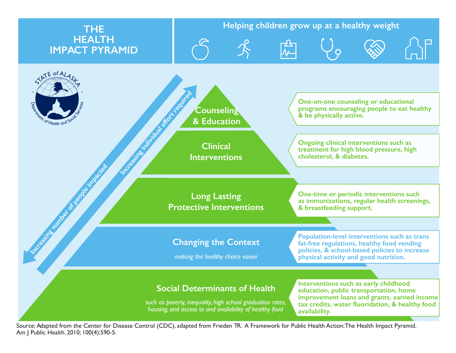

Source: Adapted from the Center for Disease Control (CDC), adapted from Frieden TR. A Framework for Public Health Action: The Health Impact Pyramid. Am J Public Health. 2010; 100(4):590-5.